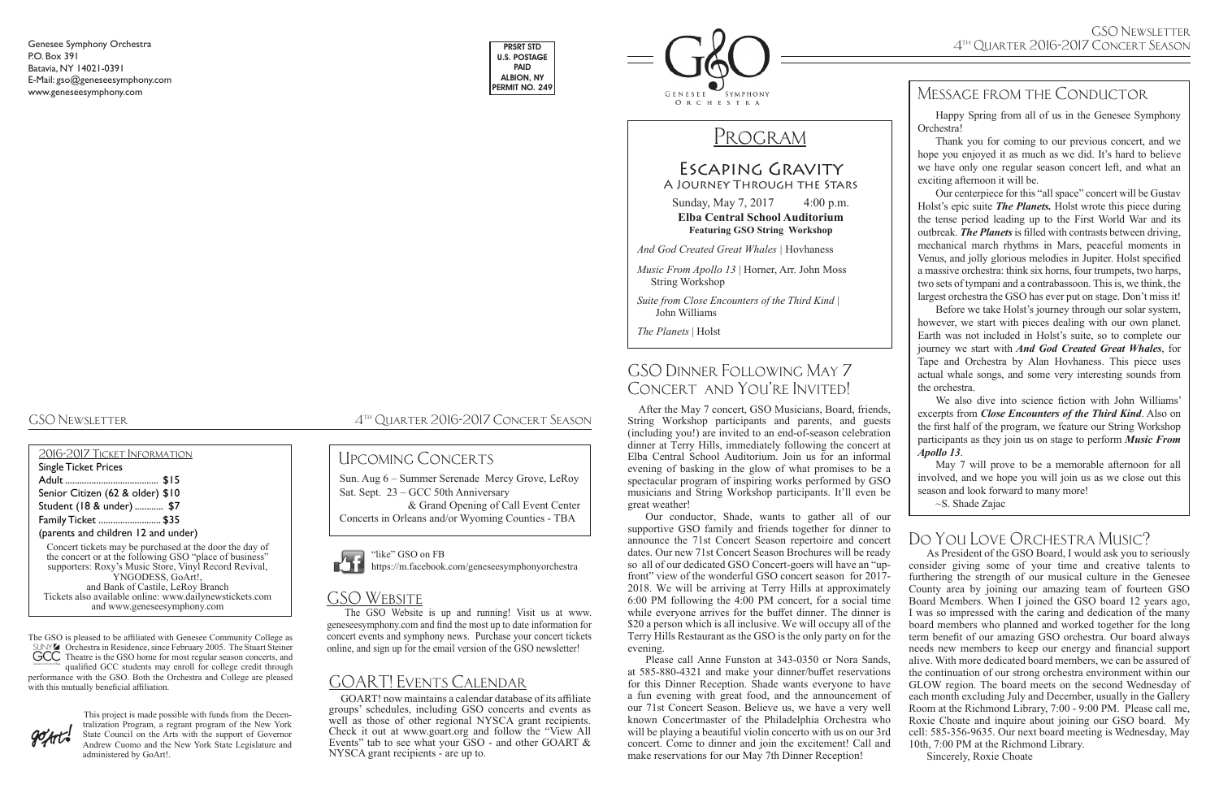## Escaping Gravity A Journey Through the Stars

Sunday, May 7, 2017 4:00 p.m. **Elba Central School Auditorium Featuring GSO String Workshop**

*And God Created Great Whales |* Hovhaness

| 2016-2017 TICKET INFORMATION                                                                                       |
|--------------------------------------------------------------------------------------------------------------------|
| <b>Single Ticket Prices</b>                                                                                        |
|                                                                                                                    |
| Senior Citizen (62 & older) \$10                                                                                   |
| Student (18 & under)  \$7                                                                                          |
| Family Ticket  \$35                                                                                                |
| (parents and children 12 and under)                                                                                |
| Concert tickets may be purchased at the door the day of<br>the concert or at the following GSO "place of business" |

*Music From Apollo 13* | Horner, Arr. John Moss String Workshop

*Suite from Close Encounters of the Third Kind* | John Williams

*The Planets* | Holst

to control control of business' supporters: Roxy's Music Store, Vinyl Record Revival, YNGODESS, GoArt!, and Bank of Castile, LeRoy Branch Tickets also available online: www.dailynewstickets.com and www.geneseesymphony.com

## GSO Dinner Following May 7 CONCERT AND YOU'RE INVITED!

Genesee Symphony Orchestra P.O. Box 391 Batavia, NY 14021-0391 E-Mail: gso@geneseesymphony.com www.geneseesymphony.com

GSO Newsletter 4th Quarter 2016-2017 Concert Season

## Message from the Conductor





# PROGRAM

The GSO is pleased to be affiliated with Genesee Community College as Orchestra in Residence, since February 2005. The Stuart Steiner Theatre is the GSO home for most regular season concerts, and

qualified GCC students may enroll for college credit through performance with the GSO. Both the Orchestra and College are pleased with this mutually beneficial affiliation.



## Upcoming Concerts

This project is made possible with funds from the Decentralization Program, a regrant program of the New York State Council on the Arts with the support of Governor Andrew Cuomo and the New York State Legislature and administered by GoArt!.

"like" GSO on FB https://m.facebook.com/geneseesymphonyorchestra

## GSO WEBSITE

 After the May 7 concert, GSO Musicians, Board, friends, String Workshop participants and parents, and guests (including you!) are invited to an end-of-season celebration dinner at Terry Hills, immediately following the concert at Elba Central School Auditorium. Join us for an informal evening of basking in the glow of what promises to be a spectacular program of inspiring works performed by GSO musicians and String Workshop participants. It'll even be great weather!

Our conductor, Shade, wants to gather all of our supportive GSO family and friends together for dinner to announce the 71st Concert Season repertoire and concert dates. Our new 71st Concert Season Brochures will be ready so all of our dedicated GSO Concert-goers will have an "upfront" view of the wonderful GSO concert season for 2017- 2018. We will be arriving at Terry Hills at approximately 6:00 PM following the 4:00 PM concert, for a social time while everyone arrives for the buffet dinner. The dinner is \$20 a person which is all inclusive. We will occupy all of the Terry Hills Restaurant as the GSO is the only party on for the evening.

Please call Anne Funston at 343-0350 or Nora Sands, at 585-880-4321 and make your dinner/buffet reservations for this Dinner Reception. Shade wants everyone to have a fun evening with great food, and the announcement of our 71st Concert Season. Believe us, we have a very well known Concertmaster of the Philadelphia Orchestra who will be playing a beautiful violin concerto with us on our 3rd concert. Come to dinner and join the excitement! Call and make reservations for our May 7th Dinner Reception!

Sun. Aug 6 – Summer Serenade Mercy Grove, LeRoy Sat. Sept. 23 – GCC 50th Anniversary & Grand Opening of Call Event Center

Concerts in Orleans and/or Wyoming Counties - TBA



Happy Spring from all of us in the Genesee Symphony Orchestra!

Thank you for coming to our previous concert, and we hope you enjoyed it as much as we did. It's hard to believe we have only one regular season concert left, and what an exciting afternoon it will be.

Our centerpiece for this "all space" concert will be Gustav Holst's epic suite *The Planets.* Holst wrote this piece during the tense period leading up to the First World War and its outbreak. *The Planets* is filled with contrasts between driving, mechanical march rhythms in Mars, peaceful moments in Venus, and jolly glorious melodies in Jupiter. Holst specified a massive orchestra: think six horns, four trumpets, two harps, two sets of tympani and a contrabassoon. This is, we think, the largest orchestra the GSO has ever put on stage. Don't miss it!

Before we take Holst's journey through our solar system, however, we start with pieces dealing with our own planet. Earth was not included in Holst's suite, so to complete our journey we start with *And God Created Great Whales*, for Tape and Orchestra by Alan Hovhaness. This piece uses actual whale songs, and some very interesting sounds from the orchestra.

We also dive into science fiction with John Williams' excerpts from *Close Encounters of the Third Kind*. Also on the first half of the program, we feature our String Workshop participants as they join us on stage to perform *Music From Apollo 13*.

May 7 will prove to be a memorable afternoon for all involved, and we hope you will join us as we close out this season and look forward to many more!

~S. Shade Zajac

## GOART! Events Calendar

 GOART! now maintains a calendar database of its affiliate groups' schedules, including GSO concerts and events as well as those of other regional NYSCA grant recipients. Check it out at www.goart.org and follow the "View All Events" tab to see what your GSO - and other GOART & NYSCA grant recipients - are up to.

The GSO Website is up and running! Visit us at www. geneseesymphony.com and find the most up to date information for concert events and symphony news. Purchase your concert tickets online, and sign up for the email version of the GSO newsletter!

## Do You Love Orchestra Music?

As President of the GSO Board, I would ask you to seriously consider giving some of your time and creative talents to furthering the strength of our musical culture in the Genesee County area by joining our amazing team of fourteen GSO Board Members. When I joined the GSO board 12 years ago, I was so impressed with the caring and dedication of the many board members who planned and worked together for the long term benefit of our amazing GSO orchestra. Our board always needs new members to keep our energy and financial support alive. With more dedicated board members, we can be assured of the continuation of our strong orchestra environment within our GLOW region. The board meets on the second Wednesday of each month excluding July and December, usually in the Gallery Room at the Richmond Library, 7:00 - 9:00 PM. Please call me, Roxie Choate and inquire about joining our GSO board. My cell: 585-356-9635. Our next board meeting is Wednesday, May 10th, 7:00 PM at the Richmond Library.

Sincerely, Roxie Choate